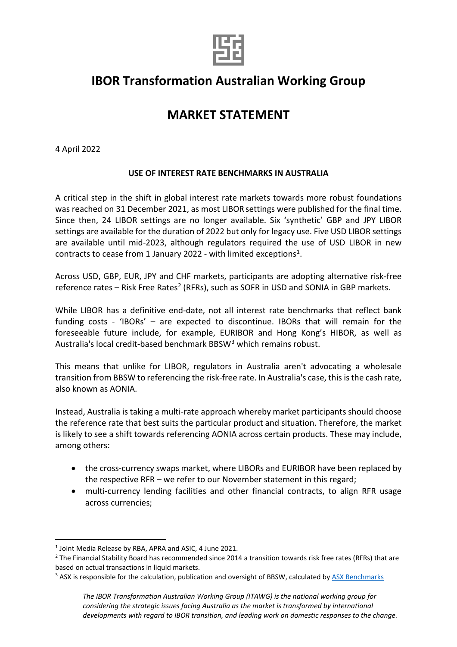

## **IBOR Transformation Australian Working Group**

## **MARKET STATEMENT**

4 April 2022

## **USE OF INTEREST RATE BENCHMARKS IN AUSTRALIA**

A critical step in the shift in global interest rate markets towards more robust foundations was reached on 31 December 2021, as most LIBOR settings were published for the final time. Since then, 24 LIBOR settings are no longer available. Six 'synthetic' GBP and JPY LIBOR settings are available for the duration of 2022 but only for legacy use. Five USD LIBOR settings are available until mid-2023, although regulators required the use of USD LIBOR in new contracts to cease from 1 January 2022 - with limited exceptions<sup>1</sup>.

Across USD, GBP, EUR, JPY and CHF markets, participants are adopting alternative risk-free reference rates – Risk Free Rates<sup>[2](#page-0-1)</sup> (RFRs), such as SOFR in USD and SONIA in GBP markets.

While LIBOR has a definitive end-date, not all interest rate benchmarks that reflect bank funding costs - 'IBORs' – are expected to discontinue. IBORs that will remain for the foreseeable future include, for example, EURIBOR and Hong Kong's HIBOR, as well as Australia's local credit-based benchmark BBSW[3](#page-0-2) which remains robust.

This means that unlike for LIBOR, regulators in Australia aren't advocating a wholesale transition from BBSW to referencing the risk-free rate. In Australia's case, this is the cash rate, also known as AONIA.

Instead, Australia is taking a multi-rate approach whereby market participants should choose the reference rate that best suits the particular product and situation. Therefore, the market is likely to see a shift towards referencing AONIA across certain products. These may include, among others:

- the cross-currency swaps market, where LIBORs and EURIBOR have been replaced by the respective RFR – we refer to our November statement in this regard;
- multi-currency lending facilities and other financial contracts, to align RFR usage across currencies;

<span id="page-0-0"></span><sup>1</sup> Joint Media Release by RBA, APRA and ASIC, 4 June 2021.

<span id="page-0-1"></span><sup>&</sup>lt;sup>2</sup> The Financial Stability Board has recommended since 2014 a transition towards risk free rates (RFRs) that are based on actual transactions in liquid markets.

<span id="page-0-2"></span><sup>&</sup>lt;sup>3</sup> ASX is responsible for the calculation, publication and oversight of BBSW, calculated b[y ASX Benchmarks](https://www2.asx.com.au/connectivity-and-data/information-services/benchmarks/benchmark-data/bbsw)